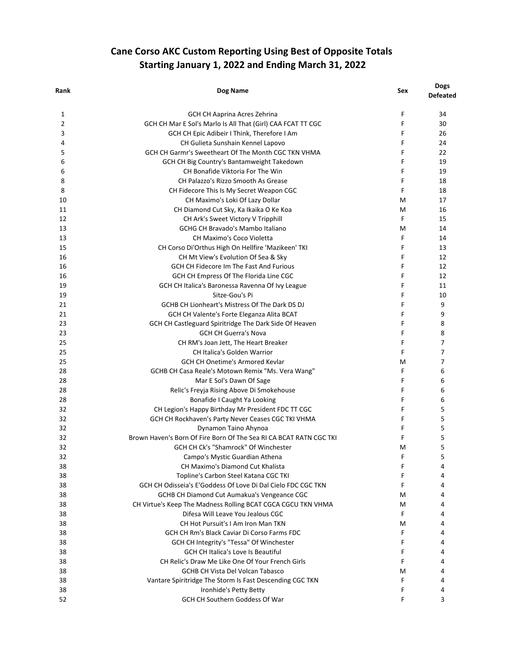## **Cane Corso AKC Custom Reporting Using Best of Opposite Totals Starting January 1, 2022 and Ending March 31, 2022**

| Rank | Dog Name                                                           | Sex | <b>Dogs</b><br><b>Defeated</b> |
|------|--------------------------------------------------------------------|-----|--------------------------------|
| 1    | GCH CH Aaprina Acres Zehrina                                       | F   | 34                             |
| 2    | GCH CH Mar E Sol's Marlo Is All That (Girl) CAA FCAT TT CGC        | F   | 30                             |
| 3    | GCH CH Epic Adibeir I Think, Therefore I Am                        | F   | 26                             |
| 4    | CH Gulieta Sunshain Kennel Lapovo                                  | F   | 24                             |
| 5    | GCH CH Garmr's Sweetheart Of The Month CGC TKN VHMA                | F   | 22                             |
| 6    | GCH CH Big Country's Bantamweight Takedown                         | F   | 19                             |
| 6    | CH Bonafide Viktoria For The Win                                   | F   | 19                             |
| 8    | CH Palazzo's Rizzo Smooth As Grease                                | F   | 18                             |
| 8    | CH Fidecore This Is My Secret Weapon CGC                           | F   | 18                             |
| 10   | CH Maximo's Loki Of Lazy Dollar                                    | м   | 17                             |
| 11   | CH Diamond Cut Sky, Ka Ikaika O Ke Koa                             | м   | 16                             |
| 12   | CH Ark's Sweet Victory V Tripphill                                 | F   | 15                             |
| 13   | GCHG CH Bravado's Mambo Italiano                                   | M   | 14                             |
| 13   | <b>CH Maximo's Coco Violetta</b>                                   | F   | 14                             |
| 15   | CH Corso Di'Orthus High On Hellfire 'Mazikeen' TKI                 | F   | 13                             |
| 16   |                                                                    | F   |                                |
|      | CH Mt View's Evolution Of Sea & Sky                                |     | 12                             |
| 16   | <b>GCH CH Fidecore Im The Fast And Furious</b>                     | F   | 12                             |
| 16   | GCH CH Empress Of The Florida Line CGC                             | F   | 12                             |
| 19   | GCH CH Italica's Baronessa Ravenna Of Ivy League                   | F   | 11                             |
| 19   | Sitze-Gou's Pi                                                     | F   | 10                             |
| 21   | <b>GCHB CH Lionheart's Mistress Of The Dark DS DJ</b>              | F   | 9                              |
| 21   | GCH CH Valente's Forte Eleganza Alita BCAT                         | F   | 9                              |
| 23   | GCH CH Castleguard Spiritridge The Dark Side Of Heaven             | F   | 8                              |
| 23   | <b>GCH CH Guerra's Nova</b>                                        | F   | 8                              |
| 25   | CH RM's Joan Jett, The Heart Breaker                               | F   | $\overline{7}$                 |
| 25   | CH Italica's Golden Warrior                                        | F   | $\overline{7}$                 |
| 25   | GCH CH Onetime's Armored Kevlar                                    | M   | $\overline{7}$                 |
| 28   | GCHB CH Casa Reale's Motown Remix "Ms. Vera Wang"                  | F   | 6                              |
| 28   | Mar E Sol's Dawn Of Sage                                           | F   | 6                              |
| 28   | Relic's Freyja Rising Above Di Smokehouse                          | F   | 6                              |
| 28   | Bonafide I Caught Ya Looking                                       | F   | 6                              |
| 32   | CH Legion's Happy Birthday Mr President FDC TT CGC                 | F   | 5                              |
| 32   | GCH CH Rockhaven's Party Never Ceases CGC TKI VHMA                 | F   | 5                              |
| 32   | Dynamon Taino Ahynoa                                               | F   | 5                              |
| 32   | Brown Haven's Born Of Fire Born Of The Sea RI CA BCAT RATN CGC TKI | F   | 5                              |
| 32   | GCH CH Ck's "Shamrock" Of Winchester                               | м   | 5                              |
| 32   | Campo's Mystic Guardian Athena                                     | F   | 5                              |
| 38   | CH Maximo's Diamond Cut Khalista                                   | F   | 4                              |
| 38   | Topline's Carbon Steel Katana CGC TKI                              | F   | 4                              |
| 38   | GCH CH Odisseia's E'Goddess Of Love Di Dal Cielo FDC CGC TKN       | F   | 4                              |
| 38   | GCHB CH Diamond Cut Aumakua's Vengeance CGC                        | м   | 4                              |
| 38   | CH Virtue's Keep The Madness Rolling BCAT CGCA CGCU TKN VHMA       | м   | 4                              |
| 38   | Difesa Will Leave You Jealous CGC                                  | F   | 4                              |
| 38   | CH Hot Pursuit's I Am Iron Man TKN                                 | м   | 4                              |
| 38   | GCH CH Rm's Black Caviar Di Corso Farms FDC                        | F   | 4                              |
|      |                                                                    |     |                                |
| 38   | GCH CH Integrity's "Tessa" Of Winchester                           | F   | 4                              |
| 38   | <b>GCH CH Italica's Love Is Beautiful</b>                          | F   | 4                              |
| 38   | CH Relic's Draw Me Like One Of Your French Girls                   | F   | 4                              |
| 38   | <b>GCHB CH Vista Del Volcan Tabasco</b>                            | M   | 4                              |
| 38   | Vantare Spiritridge The Storm Is Fast Descending CGC TKN           | F   | 4                              |
| 38   | Ironhide's Petty Betty                                             | F   | 4                              |
| 52   | GCH CH Southern Goddess Of War                                     | F   | 3                              |